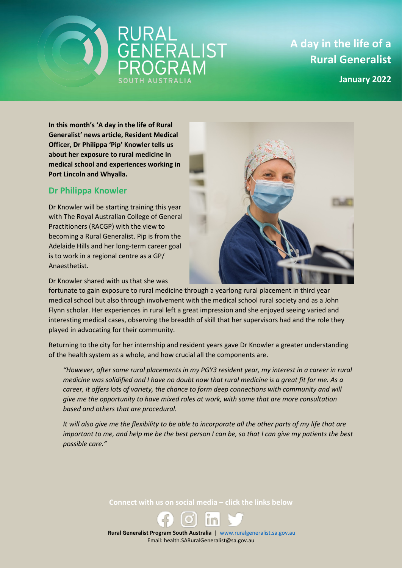



**January 2022**

**In this month's 'A day in the life of Rural Generalist' news article, Resident Medical Officer, Dr Philippa 'Pip' Knowler tells us about her exposure to rural medicine in medical school and experiences working in Port Lincoln and Whyalla.** 

SOUTH AUSTRAL

## **Dr Philippa Knowler**

Dr Knowler will be starting training this year with The Royal Australian College of General Practitioners (RACGP) with the view to becoming a Rural Generalist. Pip is from the Adelaide Hills and her long-term career goal is to work in a regional centre as a GP/ Anaesthetist.



Dr Knowler shared with us that she was

fortunate to gain exposure to rural medicine through a yearlong rural placement in third year medical school but also through involvement with the medical school rural society and as a John Flynn scholar. Her experiences in rural left a great impression and she enjoyed seeing varied and interesting medical cases, observing the breadth of skill that her supervisors had and the role they played in advocating for their community.

Returning to the city for her internship and resident years gave Dr Knowler a greater understanding of the health system as a whole, and how crucial all the components are.

*"However, after some rural placements in my PGY3 resident year, my interest in a career in rural medicine was solidified and I have no doubt now that rural medicine is a great fit for me. As a career, it offers lots of variety, the chance to form deep connections with community and will give me the opportunity to have mixed roles at work, with some that are more consultation based and others that are procedural.* 

*It will also give me the flexibility to be able to incorporate all the other parts of my life that are important to me, and help me be the best person I can be, so that I can give my patients the best possible care."*

**Connect with us on social media – click the links below**



 **Rural Generalist Program South Australia** | [www.ruralgeneralist.sa.gov.au](http://www.ruralgeneralist.sa.gov.au/) Email: health.SARuralGeneralist@sa.gov.au